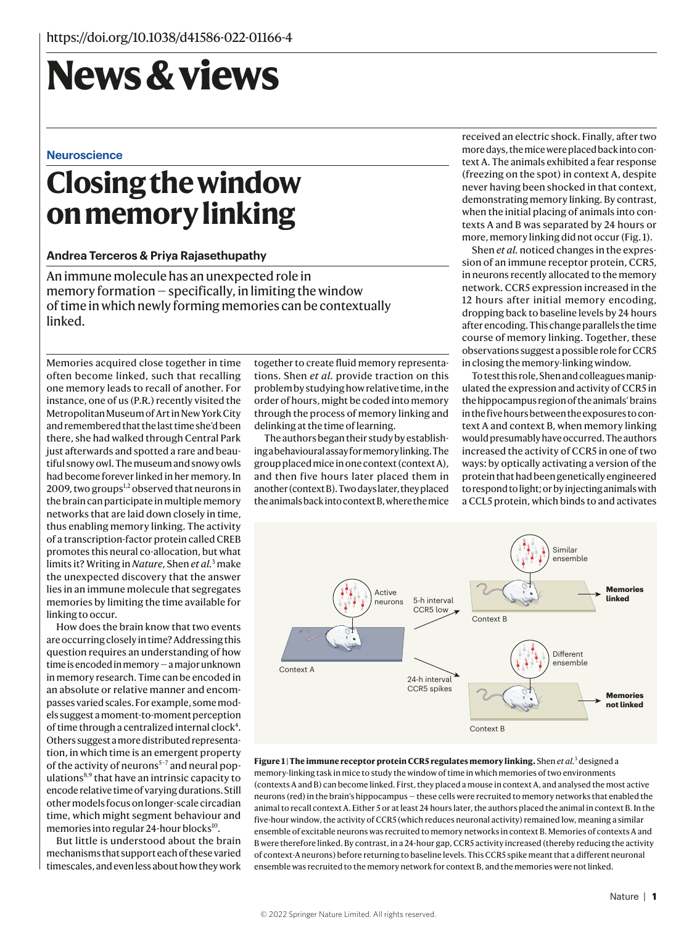# **News & views**

#### **Neuroscience**

## **Closing the window on memory linking**

#### **Andrea Terceros & Priya Rajasethupathy**

An immune molecule has an unexpected role in memory formation — specifically, in limiting the window of time in which newly forming memories can be contextually linked.

Memories acquired close together in time often become linked, such that recalling one memory leads to recall of another. For instance, one of us (P.R.) recently visited the Metropolitan Museum of Art in New York City and remembered that the last time she'd been there, she had walked through Central Park just afterwards and spotted a rare and beautiful snowy owl. The museum and snowy owls had become forever linked in her memory. In 2009, two groups<sup>1,2</sup> observed that neurons in the brain can participate in multiple memory networks that are laid down closely in time, thus enabling memory linking. The activity of a transcription-factor protein called CREB promotes this neural co-allocation, but what limits it? Writing in *Nature*, Shen *et al.*<sup>3</sup> make the unexpected discovery that the answer lies in an immune molecule that segregates memories by limiting the time available for linking to occur.

How does the brain know that two events are occurring closely in time? Addressing this question requires an understanding of how time is encoded in memory — a major unknown in memory research. Time can be encoded in an absolute or relative manner and encompasses varied scales. For example, some models suggest a moment-to-moment perception of time through a centralized internal clock<sup>4</sup>. Others suggest a more distributed representation, in which time is an emergent property of the activity of neurons<sup>5-7</sup> and neural populations8,9 that have an intrinsic capacity to encode relative time of varying durations. Still other models focus on longer-scale circadian time, which might segment behaviour and memories into regular 24-hour blocks $^{10}$ .

But little is understood about the brain mechanisms that support each of these varied timescales, and even less about how they work

together to create fluid memory representations. Shen *et al.* provide traction on this problem by studying how relative time, in the order of hours, might be coded into memory through the process of memory linking and delinking at the time of learning.

The authors began their study by establishing a behavioural assay for memory linking. The group placed mice in one context (context A), and then five hours later placed them in another (context B). Two days later, they placed the animals back into context B, where the mice received an electric shock. Finally, after two more days, the mice were placed back into context A. The animals exhibited a fear response (freezing on the spot) in context A, despite never having been shocked in that context, demonstrating memory linking. By contrast, when the initial placing of animals into contexts A and B was separated by 24 hours or more, memory linking did not occur (Fig. 1).

Shen *et al.* noticed changes in the expression of an immune receptor protein, CCR5, in neurons recently allocated to the memory network. CCR5 expression increased in the 12 hours after initial memory encoding, dropping back to baseline levels by 24 hours after encoding. This change parallels the time course of memory linking. Together, these observations suggest a possible role for CCR5 in closing the memory-linking window.

To test this role, Shen and colleagues manipulated the expression and activity of CCR5 in the hippocampus region of the animals' brains in the five hours between the exposures to context A and context B, when memory linking would presumably have occurred. The authors increased the activity of CCR5 in one of two ways: by optically activating a version of the protein that had been genetically engineered to respond to light; or by injecting animals with a CCL5 protein, which binds to and activates



**Figure 1 | The immune receptor protein CCR5 regulates memory linking.** Shen *et al.*<sup>3</sup> designed a memory-linking task in mice to study the window of time in which memories of two environments (contexts A and B) can become linked. First, they placed a mouse in context A, and analysed the most active neurons (red) in the brain's hippocampus — these cells were recruited to memory networks that enabled the animal to recall context A. Either 5 or at least 24 hours later, the authors placed the animal in context B. In the five-hour window, the activity of CCR5 (which reduces neuronal activity) remained low, meaning a similar ensemble of excitable neurons was recruited to memory networks in context B. Memories of contexts A and B were therefore linked. By contrast, in a 24-hour gap, CCR5 activity increased (thereby reducing the activity of context-A neurons) before returning to baseline levels. This CCR5 spike meant that a different neuronal ensemble was recruited to the memory network for context B, and the memories were not linked.